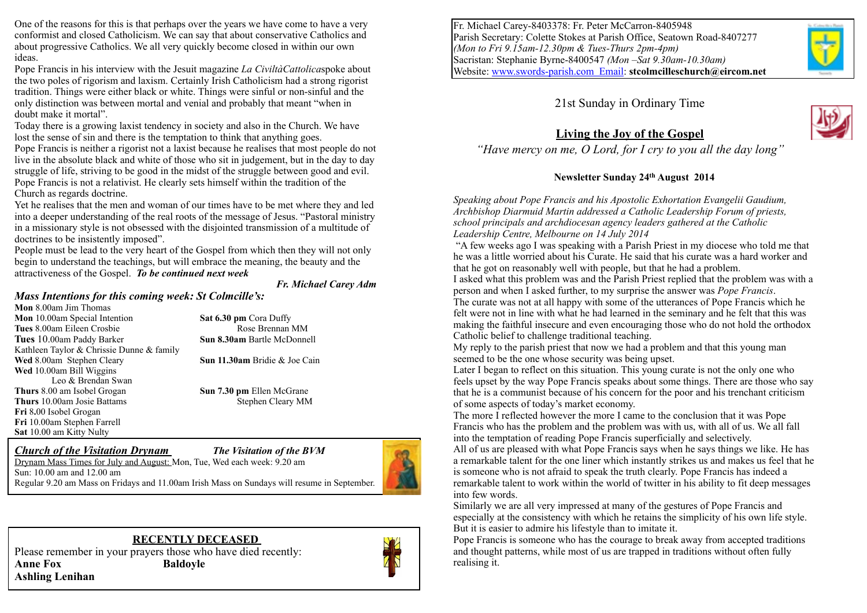One of the reasons for this is that perhaps over the years we have come to have a very conformist and closed Catholicism. We can say that about conservative Catholics and about progressive Catholics. We all very quickly become closed in within our own ideas.

Pope Francis in his interview with the Jesuit magazine *La CiviltàCattolica*spoke about the two poles of rigorism and laxism. Certainly Irish Catholicism had a strong rigorist tradition. Things were either black or white. Things were sinful or non-sinful and the only distinction was between mortal and venial and probably that meant "when in doubt make it mortal".

Today there is a growing laxist tendency in society and also in the Church. We have lost the sense of sin and there is the temptation to think that anything goes.

Pope Francis is neither a rigorist not a laxist because he realises that most people do not live in the absolute black and white of those who sit in judgement, but in the day to day struggle of life, striving to be good in the midst of the struggle between good and evil. Pope Francis is not a relativist. He clearly sets himself within the tradition of the Church as regards doctrine.

Yet he realises that the men and woman of our times have to be met where they and led into a deeper understanding of the real roots of the message of Jesus. "Pastoral ministry in a missionary style is not obsessed with the disjointed transmission of a multitude of doctrines to be insistently imposed".

People must be lead to the very heart of the Gospel from which then they will not only begin to understand the teachings, but will embrace the meaning, the beauty and the attractiveness of the Gospel. *To be continued next week* 

#### *Fr. Michael Carey Adm*

#### *Mass Intentions for this coming week: St Colmcille's:*

**Mon** 8.00am Jim Thomas **Mon** 10.00am Special Intention **Sat 6.30 pm** Cora Duffy **Tues 8.00am Eileen Crosbie Rose Brennan MM Tues** 10.00am Paddy Barker **Sun 8.30am** Bartle McDonnell Kathleen Taylor & Chrissie Dunne & family **Wed** 8.00am Stephen Cleary **Sun 11.30am** Bridie & Joe Cain **Wed** 10.00am Bill Wiggins Leo & Brendan Swan **Thurs** 8.00 am Isobel Grogan **Sun 7.30 pm** Ellen McGrane **Thurs** 10.00am Josie Battams Stephen Cleary MM **Fri** 8**.**00 Isobel Grogan **Fri** 10.00am Stephen Farrell **Sat** 10.00 am Kitty Nulty

#### *Church of the Visitation Drynam The Visitation of the BVM*



Drynam Mass Times for July and August: Mon, Tue, Wed each week: 9.20 am Sun: 10.00 am and 12.00 am Regular 9.20 am Mass on Fridays and 11.00am Irish Mass on Sundays will resume in September.

#### **RECENTLY DECEASED**

Please remember in your prayers those who have died recently: **Anne Fox Baldoyle Ashling Lenihan** 



Fr. Michael Carey-8403378: Fr. Peter McCarron-8405948 Parish Secretary: Colette Stokes at Parish Office, Seatown Road-8407277 *(Mon to Fri 9.15am-12.30pm & Tues-Thurs 2pm-4pm)* Sacristan: Stephanie Byrne-8400547 *(Mon –Sat 9.30am-10.30am)* Website: [www.swords-parish.com Email:](http://www.swords-parish.com%20%20email) **stcolmcilleschurch@eircom.net**

### 21st Sunday in Ordinary Time



### **Living the Joy of the Gospel**

*"Have mercy on me, O Lord, for I cry to you all the day long"* 

### **Newsletter Sunday 24th August 2014**

*Speaking about Pope Francis and his Apostolic Exhortation Evangelii Gaudium, Archbishop Diarmuid Martin addressed a Catholic Leadership Forum of priests, school principals and archdiocesan agency leaders gathered at the Catholic Leadership Centre, Melbourne on 14 July 2014* 

 "A few weeks ago I was speaking with a Parish Priest in my diocese who told me that he was a little worried about his Curate. He said that his curate was a hard worker and that he got on reasonably well with people, but that he had a problem.

I asked what this problem was and the Parish Priest replied that the problem was with a person and when I asked further, to my surprise the answer was *Pope Francis*.

The curate was not at all happy with some of the utterances of Pope Francis which he felt were not in line with what he had learned in the seminary and he felt that this was making the faithful insecure and even encouraging those who do not hold the orthodox Catholic belief to challenge traditional teaching.

My reply to the parish priest that now we had a problem and that this young man seemed to be the one whose security was being upset.

Later I began to reflect on this situation. This young curate is not the only one who feels upset by the way Pope Francis speaks about some things. There are those who say that he is a communist because of his concern for the poor and his trenchant criticism of some aspects of today's market economy.

The more I reflected however the more I came to the conclusion that it was Pope Francis who has the problem and the problem was with us, with all of us. We all fall into the temptation of reading Pope Francis superficially and selectively.

All of us are pleased with what Pope Francis says when he says things we like. He has a remarkable talent for the one liner which instantly strikes us and makes us feel that he is someone who is not afraid to speak the truth clearly. Pope Francis has indeed a remarkable talent to work within the world of twitter in his ability to fit deep messages into few words.

Similarly we are all very impressed at many of the gestures of Pope Francis and especially at the consistency with which he retains the simplicity of his own life style. But it is easier to admire his lifestyle than to imitate it.

Pope Francis is someone who has the courage to break away from accepted traditions and thought patterns, while most of us are trapped in traditions without often fully realising it.